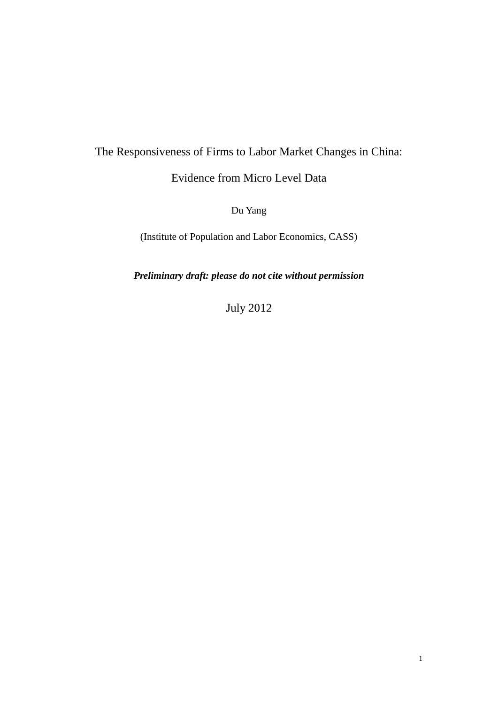# The Responsiveness of Firms to Labor Market Changes in China:

## Evidence from Micro Level Data

Du Yang

(Institute of Population and Labor Economics, CASS)

*Preliminary draft: please do not cite without permission*

July 2012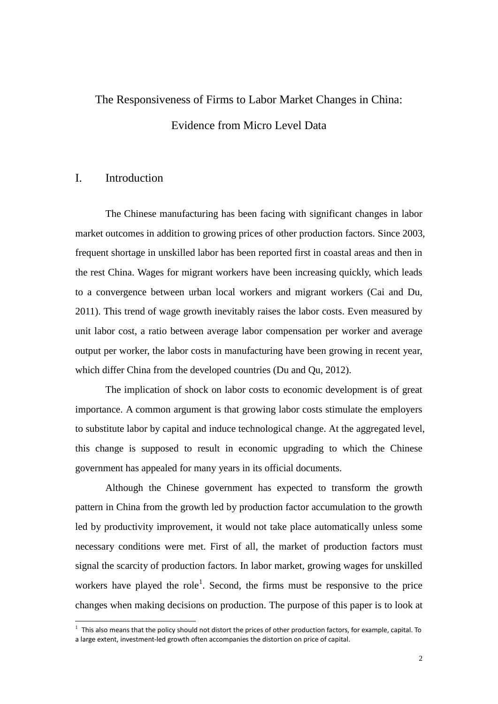# The Responsiveness of Firms to Labor Market Changes in China: Evidence from Micro Level Data

#### I. Introduction

<u>.</u>

The Chinese manufacturing has been facing with significant changes in labor market outcomes in addition to growing prices of other production factors. Since 2003, frequent shortage in unskilled labor has been reported first in coastal areas and then in the rest China. Wages for migrant workers have been increasing quickly, which leads to a convergence between urban local workers and migrant workers (Cai and Du, 2011). This trend of wage growth inevitably raises the labor costs. Even measured by unit labor cost, a ratio between average labor compensation per worker and average output per worker, the labor costs in manufacturing have been growing in recent year, which differ China from the developed countries (Du and Qu, 2012).

The implication of shock on labor costs to economic development is of great importance. A common argument is that growing labor costs stimulate the employers to substitute labor by capital and induce technological change. At the aggregated level, this change is supposed to result in economic upgrading to which the Chinese government has appealed for many years in its official documents.

Although the Chinese government has expected to transform the growth pattern in China from the growth led by production factor accumulation to the growth led by productivity improvement, it would not take place automatically unless some necessary conditions were met. First of all, the market of production factors must signal the scarcity of production factors. In labor market, growing wages for unskilled workers have played the role<sup>1</sup>. Second, the firms must be responsive to the price changes when making decisions on production. The purpose of this paper is to look at

 $<sup>1</sup>$  This also means that the policy should not distort the prices of other production factors, for example, capital. To</sup> a large extent, investment-led growth often accompanies the distortion on price of capital.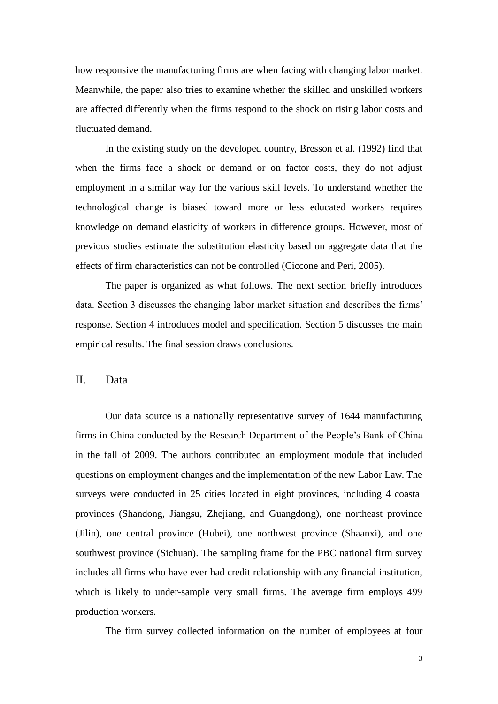how responsive the manufacturing firms are when facing with changing labor market. Meanwhile, the paper also tries to examine whether the skilled and unskilled workers are affected differently when the firms respond to the shock on rising labor costs and fluctuated demand.

In the existing study on the developed country, Bresson et al. (1992) find that when the firms face a shock or demand or on factor costs, they do not adjust employment in a similar way for the various skill levels. To understand whether the technological change is biased toward more or less educated workers requires knowledge on demand elasticity of workers in difference groups. However, most of previous studies estimate the substitution elasticity based on aggregate data that the effects of firm characteristics can not be controlled (Ciccone and Peri, 2005).

The paper is organized as what follows. The next section briefly introduces data. Section 3 discusses the changing labor market situation and describes the firms' response. Section 4 introduces model and specification. Section 5 discusses the main empirical results. The final session draws conclusions.

II. Data

Our data source is a nationally representative survey of 1644 manufacturing firms in China conducted by the Research Department of the People's Bank of China in the fall of 2009. The authors contributed an employment module that included questions on employment changes and the implementation of the new Labor Law. The surveys were conducted in 25 cities located in eight provinces, including 4 coastal provinces (Shandong, Jiangsu, Zhejiang, and Guangdong), one northeast province (Jilin), one central province (Hubei), one northwest province (Shaanxi), and one southwest province (Sichuan). The sampling frame for the PBC national firm survey includes all firms who have ever had credit relationship with any financial institution, which is likely to under-sample very small firms. The average firm employs 499 production workers.

The firm survey collected information on the number of employees at four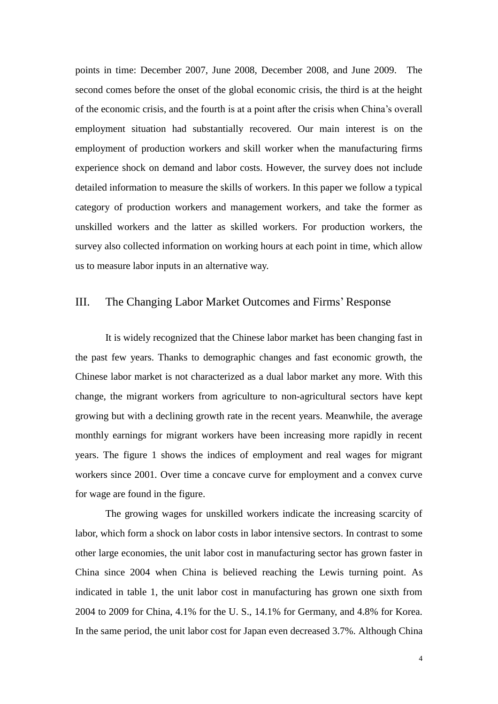points in time: December 2007, June 2008, December 2008, and June 2009. The second comes before the onset of the global economic crisis, the third is at the height of the economic crisis, and the fourth is at a point after the crisis when China's overall employment situation had substantially recovered. Our main interest is on the employment of production workers and skill worker when the manufacturing firms experience shock on demand and labor costs. However, the survey does not include detailed information to measure the skills of workers. In this paper we follow a typical category of production workers and management workers, and take the former as unskilled workers and the latter as skilled workers. For production workers, the survey also collected information on working hours at each point in time, which allow us to measure labor inputs in an alternative way.

#### III. The Changing Labor Market Outcomes and Firms'Response

It is widely recognized that the Chinese labor market has been changing fast in the past few years. Thanks to demographic changes and fast economic growth, the Chinese labor market is not characterized as a dual labor market any more. With this change, the migrant workers from agriculture to non-agricultural sectors have kept growing but with a declining growth rate in the recent years. Meanwhile, the average monthly earnings for migrant workers have been increasing more rapidly in recent years. The figure 1 shows the indices of employment and real wages for migrant workers since 2001. Over time a concave curve for employment and a convex curve for wage are found in the figure.

The growing wages for unskilled workers indicate the increasing scarcity of labor, which form a shock on labor costs in labor intensive sectors. In contrast to some other large economies, the unit labor cost in manufacturing sector has grown faster in China since 2004 when China is believed reaching the Lewis turning point. As indicated in table 1, the unit labor cost in manufacturing has grown one sixth from 2004 to 2009 for China, 4.1% for the U. S., 14.1% for Germany, and 4.8% for Korea. In the same period, the unit labor cost for Japan even decreased 3.7%. Although China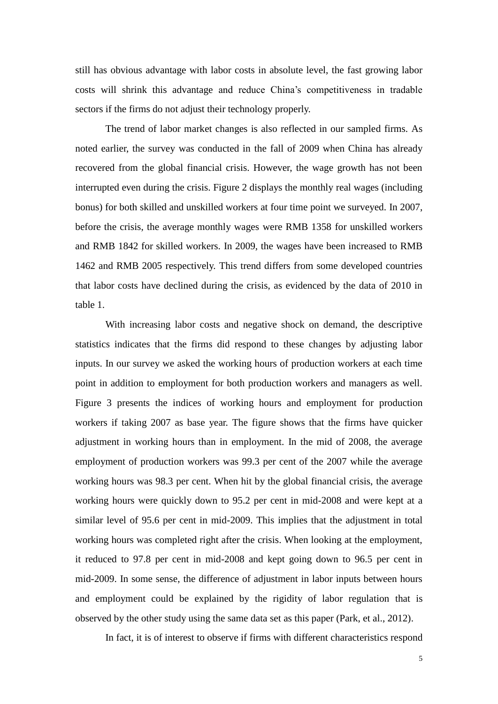still has obvious advantage with labor costs in absolute level, the fast growing labor costs will shrink this advantage and reduce China's competitiveness in tradable sectors if the firms do not adjust their technology properly.

The trend of labor market changes is also reflected in our sampled firms. As noted earlier, the survey was conducted in the fall of 2009 when China has already recovered from the global financial crisis. However, the wage growth has not been interrupted even during the crisis. Figure 2 displays the monthly real wages (including bonus) for both skilled and unskilled workers at four time point we surveyed. In 2007, before the crisis, the average monthly wages were RMB 1358 for unskilled workers and RMB 1842 for skilled workers. In 2009, the wages have been increased to RMB 1462 and RMB 2005 respectively. This trend differs from some developed countries that labor costs have declined during the crisis, as evidenced by the data of 2010 in table 1.

With increasing labor costs and negative shock on demand, the descriptive statistics indicates that the firms did respond to these changes by adjusting labor inputs. In our survey we asked the working hours of production workers at each time point in addition to employment for both production workers and managers as well. Figure 3 presents the indices of working hours and employment for production workers if taking 2007 as base year. The figure shows that the firms have quicker adjustment in working hours than in employment. In the mid of 2008, the average employment of production workers was 99.3 per cent of the 2007 while the average working hours was 98.3 per cent. When hit by the global financial crisis, the average working hours were quickly down to 95.2 per cent in mid-2008 and were kept at a similar level of 95.6 per cent in mid-2009. This implies that the adjustment in total working hours was completed right after the crisis. When looking at the employment, it reduced to 97.8 per cent in mid-2008 and kept going down to 96.5 per cent in mid-2009. In some sense, the difference of adjustment in labor inputs between hours and employment could be explained by the rigidity of labor regulation that is observed by the other study using the same data set as this paper (Park, et al., 2012).

In fact, it is of interest to observe if firms with different characteristics respond

5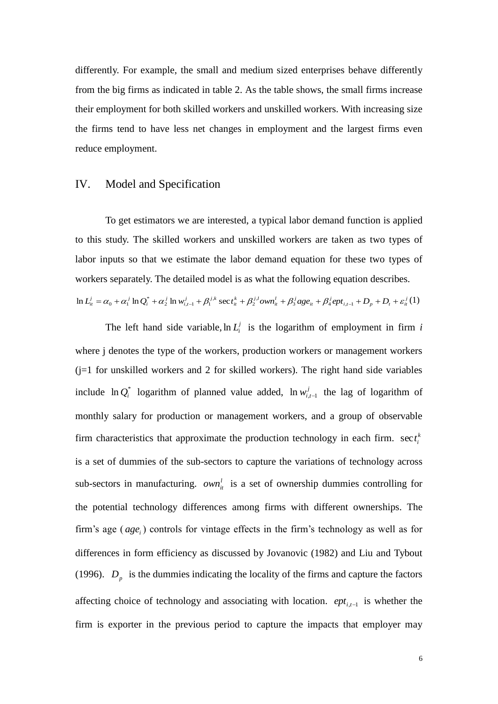differently. For example, the small and medium sized enterprises behave differently from the big firms as indicated in table 2. As the table shows, the small firms increase their employment for both skilled workers and unskilled workers. With increasing size the firms tend to have less net changes in employment and the largest firms even reduce employment.

#### IV. Model and Specification

To get estimators we are interested, a typical labor demand function is applied to this study. The skilled workers and unskilled workers are taken as two types of labor inputs so that we estimate the labor demand equation for these two types of workers separately. The detailed model is as what the following equation describes.

$$
\ln L_{it}^{j} = \alpha_0 + \alpha_1^{j} \ln Q_i^* + \alpha_2^{j} \ln w_{i,t-1}^{j} + \beta_1^{j,k} \sec t_u^{k} + \beta_2^{j,l} \omega w n_u^{l} + \beta_3^{j} \omega t_u^{k} + \beta_4^{j} e p t_{i,t-1} + D_p + D_t + \varepsilon_u^{j} (1)
$$

The left hand side variable,  $\ln L_i^j$  is the logarithm of employment in firm *i* where j denotes the type of the workers, production workers or management workers  $(i=1)$  for unskilled workers and 2 for skilled workers). The right hand side variables include  $\ln Q_i^*$  logarithm of planned value added,  $\ln w_{i,t-1}^j$  the lag of logarithm of monthly salary for production or management workers, and a group of observable firm characteristics that approximate the production technology in each firm.  $\sec t_i^k$ *i* sec*t* is a set of dummies of the sub-sectors to capture the variations of technology across sub-sectors in manufacturing.  $own<sub>i</sub><sup>l</sup>$  is a set of ownership dummies controlling for the potential technology differences among firms with different ownerships. The firm's age (age<sub>*i*</sub>) controls for vintage effects in the firm's technology as well as for differences in form efficiency as discussed by Jovanovic (1982) and Liu and Tybout (1996).  $D_p$  is the dummies indicating the locality of the firms and capture the factors affecting choice of technology and associating with location.  $ept_{i,t-1}$  is whether the firm is exporter in the previous period to capture the impacts that employer may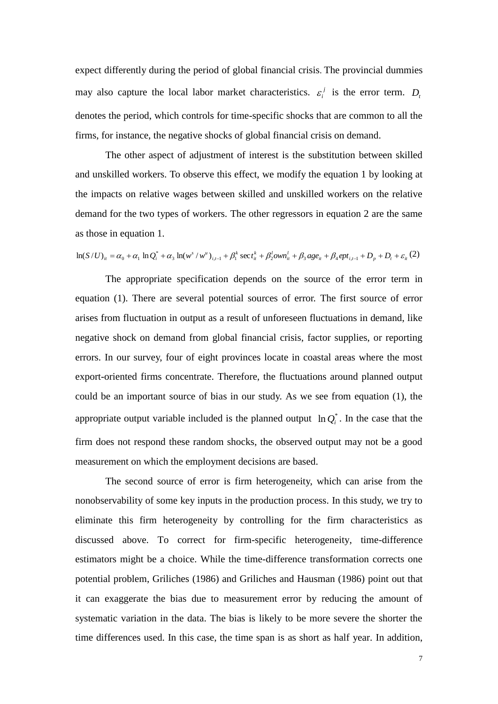expect differently during the period of global financial crisis. The provincial dummies may also capture the local labor market characteristics.  $\varepsilon_i^j$  $\varepsilon_i^j$  is the error term.  $D_i$ denotes the period, which controls for time-specific shocks that are common to all the firms, for instance, the negative shocks of global financial crisis on demand.

The other aspect of adjustment of interest is the substitution between skilled and unskilled workers. To observe this effect, we modify the equation 1 by looking at the impacts on relative wages between skilled and unskilled workers on the relative demand for the two types of workers. The other regressors in equation 2 are the same as those in equation 1.

$$
\ln(S/U)_{it} = \alpha_0 + \alpha_1 \ln Q_i^* + \alpha_3 \ln(w^s/w^u)_{i,t-1} + \beta_1^k \sec t_u^k + \beta_2^l \omega w n_u^l + \beta_3 \alpha_2 e_u^* + \beta_4 e p t_{i,t-1} + D_p + D_t + \varepsilon_u(2)
$$

The appropriate specification depends on the source of the error term in equation (1). There are several potential sources of error. The first source of error arises from fluctuation in output as a result of unforeseen fluctuations in demand, like negative shock on demand from global financial crisis, factor supplies, or reporting errors. In our survey, four of eight provinces locate in coastal areas where the most export-oriented firms concentrate. Therefore, the fluctuations around planned output could be an important source of bias in our study. As we see from equation (1), the appropriate output variable included is the planned output  $\ln Q_i^*$ . In the case that the firm does not respond these random shocks, the observed output may not be a good measurement on which the employment decisions are based.

The second source of error is firm heterogeneity, which can arise from the nonobservability of some key inputs in the production process. In this study, we try to eliminate this firm heterogeneity by controlling for the firm characteristics as discussed above. To correct for firm-specific heterogeneity, time-difference estimators might be a choice. While the time-difference transformation corrects one potential problem, Griliches (1986) and Griliches and Hausman (1986) point out that it can exaggerate the bias due to measurement error by reducing the amount of systematic variation in the data. The bias is likely to be more severe the shorter the time differences used. In this case, the time span is as short as half year. In addition,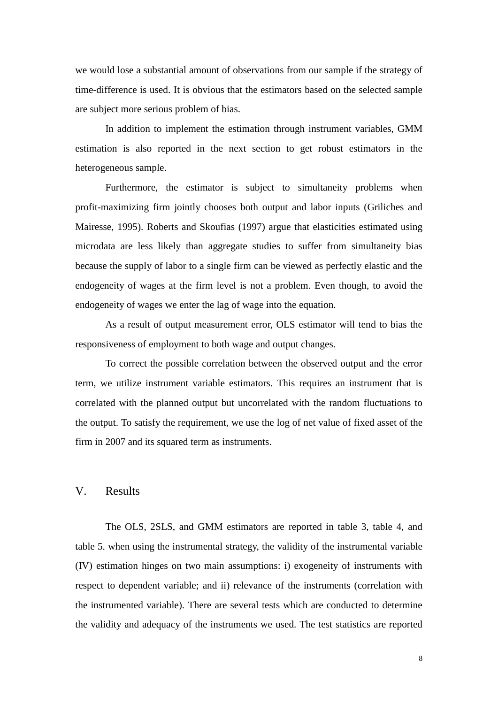we would lose a substantial amount of observations from our sample if the strategy of time-difference is used. It is obvious that the estimators based on the selected sample are subject more serious problem of bias.

In addition to implement the estimation through instrument variables, GMM estimation is also reported in the next section to get robust estimators in the heterogeneous sample.

Furthermore, the estimator is subject to simultaneity problems when profit-maximizing firm jointly chooses both output and labor inputs (Griliches and Mairesse, 1995). Roberts and Skoufias (1997) argue that elasticities estimated using microdata are less likely than aggregate studies to suffer from simultaneity bias because the supply of labor to a single firm can be viewed as perfectly elastic and the endogeneity of wages at the firm level is not a problem. Even though, to avoid the endogeneity of wages we enter the lag of wage into the equation.

As a result of output measurement error, OLS estimator will tend to bias the responsiveness of employment to both wage and output changes.

To correct the possible correlation between the observed output and the error term, we utilize instrument variable estimators. This requires an instrument that is correlated with the planned output but uncorrelated with the random fluctuations to the output. To satisfy the requirement, we use the log of net value of fixed asset of the firm in 2007 and its squared term as instruments.

#### V. Results

The OLS, 2SLS, and GMM estimators are reported in table 3, table 4, and table 5. when using the instrumental strategy, the validity of the instrumental variable (IV) estimation hinges on two main assumptions: i) exogeneity of instruments with respect to dependent variable; and ii) relevance of the instruments (correlation with the instrumented variable). There are several tests which are conducted to determine the validity and adequacy of the instruments we used. The test statistics are reported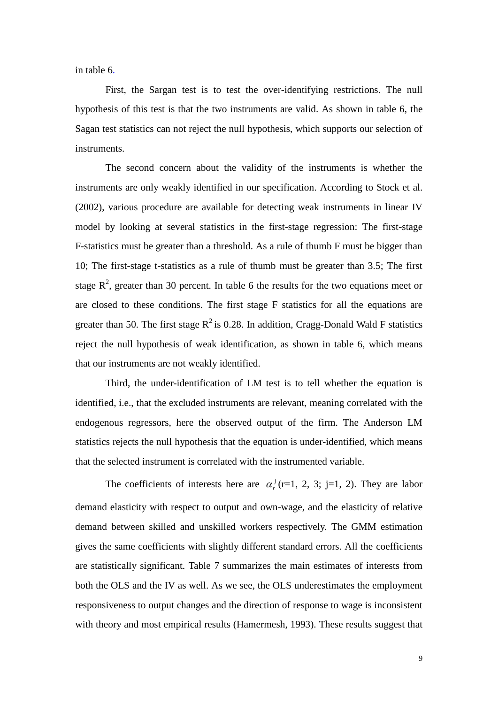in table 6.

First, the Sargan test is to test the over-identifying restrictions. The null hypothesis of this test is that the two instruments are valid. As shown in table 6, the Sagan test statistics can not reject the null hypothesis, which supports our selection of instruments.

The second concern about the validity of the instruments is whether the instruments are only weakly identified in our specification. According to Stock et al. (2002), various procedure are available for detecting weak instruments in linear IV model by looking at several statistics in the first-stage regression: The first-stage F-statistics must be greater than a threshold. As a rule of thumb F must be bigger than 10; The first-stage t-statistics as a rule of thumb must be greater than 3.5; The first stage  $\mathbb{R}^2$ , greater than 30 percent. In table 6 the results for the two equations meet or are closed to these conditions. The first stage F statistics for all the equations are greater than 50. The first stage  $R^2$  is 0.28. In addition, Cragg-Donald Wald F statistics reject the null hypothesis of weak identification, as shown in table 6, which means that our instruments are not weakly identified.

Third, the under-identification of LM test is to tell whether the equation is identified, i.e., that the excluded instruments are relevant, meaning correlated with the endogenous regressors, here the observed output of the firm. The Anderson LM statistics rejects the null hypothesis that the equation is under-identified, which means that the selected instrument is correlated with the instrumented variable.

The coefficients of interests here are  $\alpha_r^j$  (r=1, 2, 3; j=1, 2). They are labor demand elasticity with respect to output and own-wage, and the elasticity of relative demand between skilled and unskilled workers respectively. The GMM estimation gives the same coefficients with slightly different standard errors. All the coefficients are statistically significant. Table 7 summarizes the main estimates of interests from both the OLS and the IV as well. As we see, the OLS underestimates the employment responsiveness to output changes and the direction of response to wage is inconsistent with theory and most empirical results (Hamermesh, 1993). These results suggest that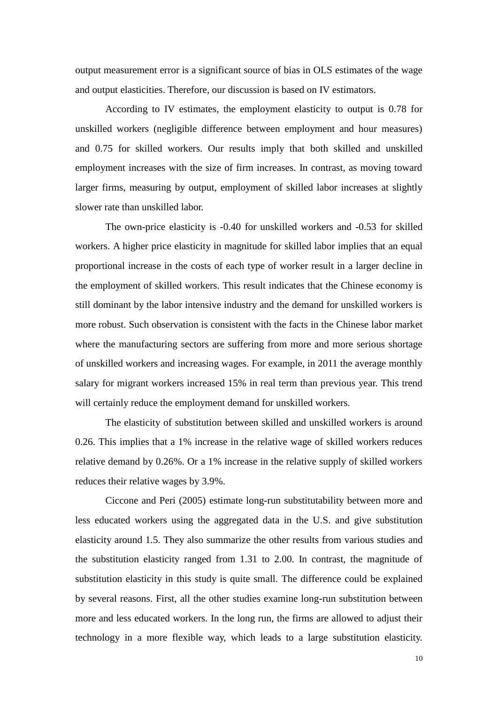output measurement error is a significant source of bias in OLS estimates of the wage and output elasticities. Therefore, our discussion is based on IV estimators.

According to IV estimates, the employment elasticity to output is 0.78 for unskilled workers (negligible difference between employment and hour measures) and 0.75 for skilled workers. Our results imply that both skilled and unskilled employment increases with the size of firm increases. In contrast, as moving toward larger firms, measuring by output, employment of skilled labor increases at slightly slower rate than unskilled labor.

The own-price elasticity is -0.40 for unskilled workers and -0.53 for skilled workers. A higher price elasticity in magnitude for skilled labor implies that an equal proportional increase in the costs of each type of worker result in a larger decline in the employment of skilled workers. This result indicates that the Chinese economy is still dominant by the labor intensive industry and the demand for unskilled workers is more robust. Such observation is consistent with the facts in the Chinese labor market where the manufacturing sectors are suffering from more and more serious shortage of unskilled workers and increasing wages. For example, in 2011 the average monthly salary for migrant workers increased 15% in real term than previous year. This trend will certainly reduce the employment demand for unskilled workers.

The elasticity of substitution between skilled and unskilled workers is around 0.26. This implies that a 1% increase in the relative wage of skilled workers reduces relative demand by 0.26%. Or a 1% increase in the relative supply of skilled workers reduces their relative wages by 3.9%.

Ciccone and Peri (2005) estimate long-run substitutability between more and less educated workers using the aggregated data in the U.S. and give substitution elasticity around 1.5. They also summarize the other results from various studies and the substitution elasticity ranged from 1.31 to 2.00. In contrast, the magnitude of substitution elasticity in this study is quite small. The difference could be explained by several reasons. First, all the other studies examine long-run substitution between more and less educated workers. In the long run, the firms are allowed to adjust their technology in a more flexible way, which leads to a large substitution elasticity.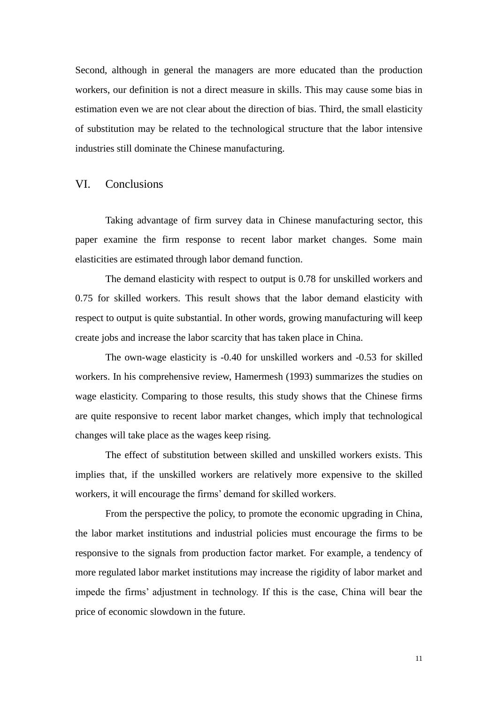Second, although in general the managers are more educated than the production workers, our definition is not a direct measure in skills. This may cause some bias in estimation even we are not clear about the direction of bias. Third, the small elasticity of substitution may be related to the technological structure that the labor intensive industries still dominate the Chinese manufacturing.

#### VI. Conclusions

Taking advantage of firm survey data in Chinese manufacturing sector, this paper examine the firm response to recent labor market changes. Some main elasticities are estimated through labor demand function.

The demand elasticity with respect to output is 0.78 for unskilled workers and 0.75 for skilled workers. This result shows that the labor demand elasticity with respect to output is quite substantial. In other words, growing manufacturing will keep create jobs and increase the labor scarcity that has taken place in China.

The own-wage elasticity is -0.40 for unskilled workers and -0.53 for skilled workers. In his comprehensive review, Hamermesh (1993) summarizes the studies on wage elasticity. Comparing to those results, this study shows that the Chinese firms are quite responsive to recent labor market changes, which imply that technological changes will take place as the wages keep rising.

The effect of substitution between skilled and unskilled workers exists. This implies that, if the unskilled workers are relatively more expensive to the skilled workers, it will encourage the firms' demand for skilled workers.

From the perspective the policy, to promote the economic upgrading in China, the labor market institutions and industrial policies must encourage the firms to be responsive to the signals from production factor market. For example, a tendency of more regulated labor market institutions may increase the rigidity of labor market and impede the firms' adjustment in technology. If this is the case, China will bear the price of economic slowdown in the future.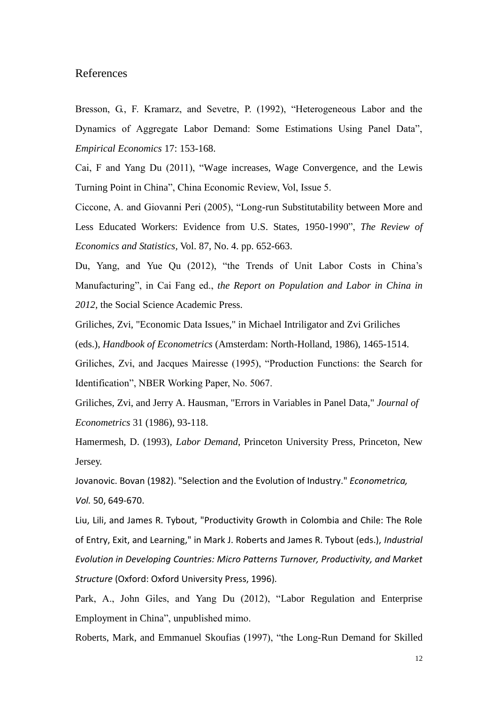#### References

Bresson, G., F. Kramarz, and Sevetre, P. (1992), "Heterogeneous Labor and the Dynamics of Aggregate Labor Demand: Some Estimations Using Panel Data", *Empirical Economics* 17: 153-168.

Cai, F and Yang Du (2011), "Wage increases, Wage Convergence, and the Lewis Turning Point in China", China Economic Review, Vol, Issue 5.

Ciccone, A. and Giovanni Peri (2005), "Long-run Substitutability between More and Less Educated Workers: Evidence from U.S. States, 1950-1990", *The Review of Economics and Statistics,* Vol. 87, No. 4. pp. 652-663.

Du, Yang, and Yue Qu (2012), "the Trends of Unit Labor Costs in China's Manufacturing", in Cai Fang ed., *the Report on Population and Labor in China in 2012,* the Social Science Academic Press.

Griliches, Zvi, "Economic Data Issues," in Michael Intriligator and Zvi Griliches (eds.), *Handbook of Econometrics* (Amsterdam: North-Holland, 1986), 1465-1514.

Griliches, Zvi, and Jacques Mairesse (1995), "Production Functions: the Search for Identification", NBER Working Paper, No. 5067.

Griliches, Zvi, and Jerry A. Hausman, "Errors in Variables in Panel Data," *Journal of Econometrics* 31 (1986), 93-118.

Hamermesh, D. (1993), *Labor Demand*, Princeton University Press, Princeton, New Jersey.

Jovanovic. Bovan (1982). "Selection and the Evolution of Industry." *Econometrica, Vol.* 50, 649-670.

Liu, Lili, and James R. Tybout, "Productivity Growth in Colombia and Chile: The Role of Entry, Exit, and Learning," in Mark J. Roberts and James R. Tybout (eds.), *Industrial Evolution in Developing Countries: Micro Patterns Turnover, Productivity, and Market Structure* (Oxford: Oxford University Press, 1996).

Park, A., John Giles, and Yang Du (2012), "Labor Regulation and Enterprise Employment in China", unpublished mimo.

Roberts, Mark, and Emmanuel Skoufias (1997), "the Long-Run Demand for Skilled

12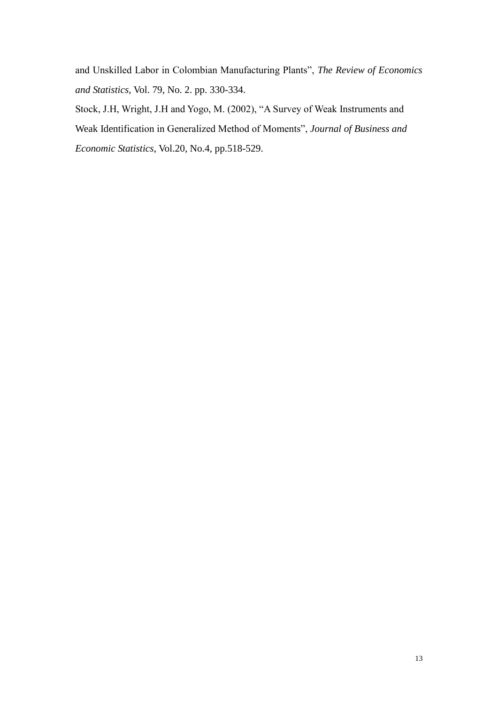and Unskilled Labor in Colombian Manufacturing Plants", *The Review of Economics and Statistics,* Vol. 79, No. 2. pp. 330-334.

Stock, J.H, Wright, J.H and Yogo, M. (2002), "A Survey of Weak Instruments and Weak Identification in Generalized Method of Moments", *Journal of Business and Economic Statistics*, Vol.20, No.4, pp.518-529.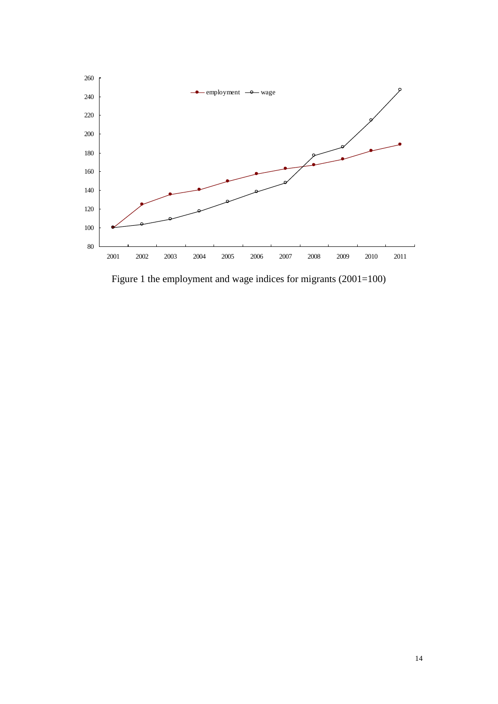

Figure 1 the employment and wage indices for migrants (2001=100)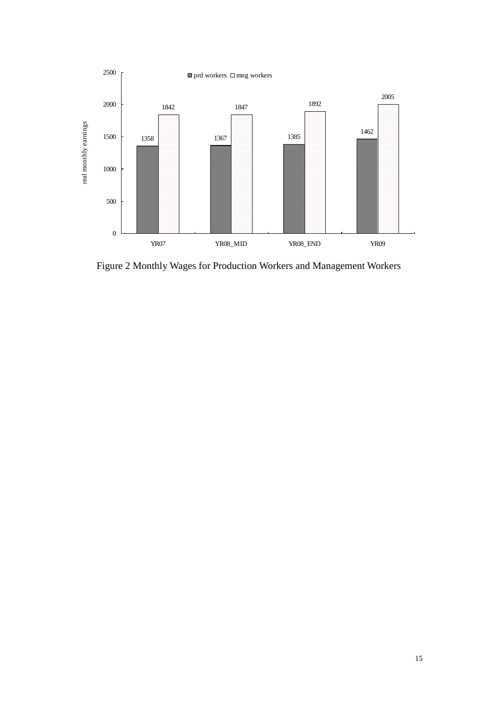

Figure 2 Monthly Wages for Production Workers and Management Workers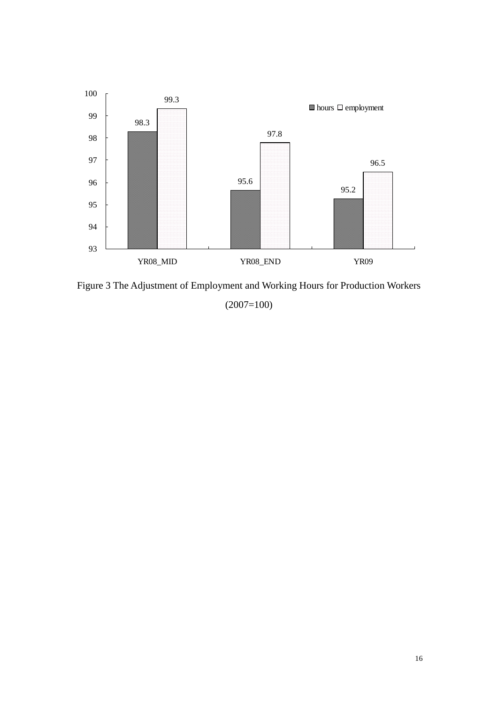

Figure 3 The Adjustment of Employment and Working Hours for Production Workers

(2007=100)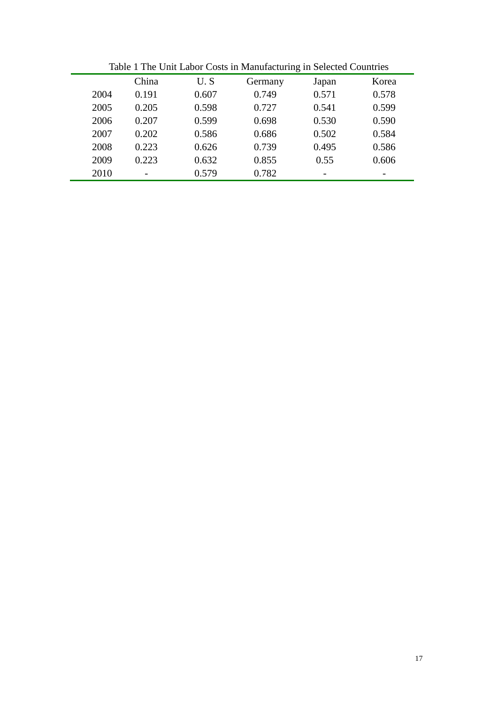|      |                          |       |         | O                        |       |
|------|--------------------------|-------|---------|--------------------------|-------|
|      | China                    | U.S   | Germany | Japan                    | Korea |
| 2004 | 0.191                    | 0.607 | 0.749   | 0.571                    | 0.578 |
| 2005 | 0.205                    | 0.598 | 0.727   | 0.541                    | 0.599 |
| 2006 | 0.207                    | 0.599 | 0.698   | 0.530                    | 0.590 |
| 2007 | 0.202                    | 0.586 | 0.686   | 0.502                    | 0.584 |
| 2008 | 0.223                    | 0.626 | 0.739   | 0.495                    | 0.586 |
| 2009 | 0.223                    | 0.632 | 0.855   | 0.55                     | 0.606 |
| 2010 | $\overline{\phantom{0}}$ | 0.579 | 0.782   | $\overline{\phantom{a}}$ | -     |
|      |                          |       |         |                          |       |

Table 1 The Unit Labor Costs in Manufacturing in Selected Countries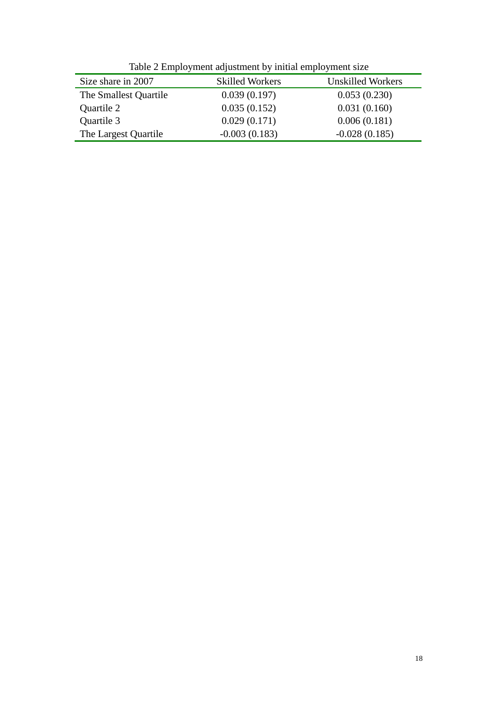| Size share in 2007    | <b>Skilled Workers</b> | <b>Unskilled Workers</b> |
|-----------------------|------------------------|--------------------------|
| The Smallest Quartile | 0.039(0.197)           | 0.053(0.230)             |
| Quartile 2            | 0.035(0.152)           | 0.031(0.160)             |
| Quartile 3            | 0.029(0.171)           | 0.006(0.181)             |
| The Largest Quartile  | $-0.003(0.183)$        | $-0.028(0.185)$          |

Table 2 Employment adjustment by initial employment size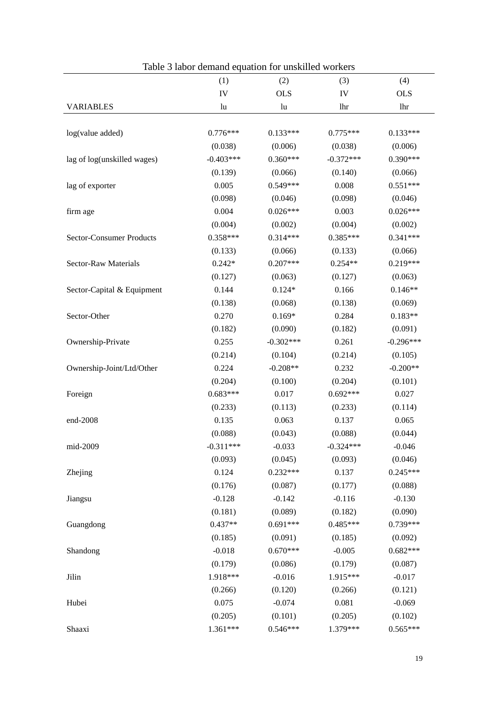|                                               | (2)<br>(4)<br>(3)                       |
|-----------------------------------------------|-----------------------------------------|
| (1)                                           |                                         |
| IV                                            | <b>OLS</b><br><b>OLS</b><br>IV          |
| <b>VARIABLES</b><br>lu                        | lhr<br>lu<br>lhr                        |
|                                               |                                         |
| log(value added)<br>$0.776***$                | $0.133***$<br>$0.775***$<br>$0.133***$  |
| (0.038)                                       | (0.006)<br>(0.038)<br>(0.006)           |
| $-0.403***$<br>lag of log(unskilled wages)    | $0.360***$<br>$-0.372***$<br>$0.390***$ |
| (0.139)                                       | (0.066)<br>(0.140)<br>(0.066)           |
| 0.005<br>lag of exporter                      | $0.549***$<br>0.008<br>$0.551***$       |
| (0.098)                                       | (0.046)<br>(0.098)<br>(0.046)           |
| 0.004<br>firm age                             | $0.026***$<br>0.003<br>$0.026***$       |
| (0.004)                                       | (0.002)<br>(0.004)<br>(0.002)           |
| $0.358***$<br><b>Sector-Consumer Products</b> | $0.341***$<br>$0.314***$<br>$0.385***$  |
| (0.133)                                       | (0.066)<br>(0.133)<br>(0.066)           |
| <b>Sector-Raw Materials</b><br>$0.242*$       | $0.219***$<br>$0.207***$<br>$0.254**$   |
| (0.127)                                       | (0.063)<br>(0.127)<br>(0.063)           |
| Sector-Capital & Equipment<br>0.144           | $0.124*$<br>0.166<br>$0.146**$          |
| (0.138)                                       | (0.068)<br>(0.138)<br>(0.069)           |
| Sector-Other<br>0.270                         | 0.284<br>$0.169*$<br>$0.183**$          |
| (0.182)                                       | (0.090)<br>(0.182)<br>(0.091)           |
| 0.255<br>Ownership-Private                    | 0.261<br>$-0.296***$<br>$-0.302***$     |
| (0.214)                                       | (0.104)<br>(0.214)<br>(0.105)           |
| Ownership-Joint/Ltd/Other<br>0.224            | $-0.208**$<br>0.232<br>$-0.200**$       |
| (0.204)                                       | (0.100)<br>(0.204)<br>(0.101)           |
| $0.683***$<br>Foreign                         | 0.017<br>$0.692***$<br>0.027            |
| (0.233)                                       | (0.113)<br>(0.233)<br>(0.114)           |
| 0.135<br>end-2008                             | 0.063<br>0.137<br>0.065                 |
| (0.088)                                       | (0.043)<br>(0.088)<br>(0.044)           |
| $-0.311***$<br>mid-2009                       | $-0.033$<br>$-0.324***$<br>$-0.046$     |
| (0.093)                                       | (0.045)<br>(0.093)<br>(0.046)           |
| 0.124<br>Zhejing                              | 0.137<br>$0.245***$<br>$0.232***$       |
| (0.176)                                       | (0.087)<br>(0.177)<br>(0.088)           |
| $-0.128$<br>Jiangsu                           | $-0.142$<br>$-0.116$<br>$-0.130$        |
| (0.181)                                       | (0.182)<br>(0.090)<br>(0.089)           |
| $0.437**$<br>Guangdong                        | $0.691***$<br>$0.485***$<br>0.739***    |
| (0.185)                                       | (0.091)<br>(0.185)<br>(0.092)           |
| $-0.018$<br>Shandong                          | $0.670***$<br>$-0.005$<br>$0.682***$    |
| (0.179)                                       | (0.179)<br>(0.086)<br>(0.087)           |
| 1.918***<br>Jilin                             | $-0.016$<br>1.915***<br>$-0.017$        |
| (0.266)                                       | (0.120)<br>(0.266)<br>(0.121)           |
| Hubei<br>0.075                                | $-0.074$<br>0.081<br>$-0.069$           |
| (0.205)                                       | (0.101)<br>(0.205)<br>(0.102)           |
| $1.361***$<br>Shaaxi                          | $0.546***$<br>1.379***<br>$0.565***$    |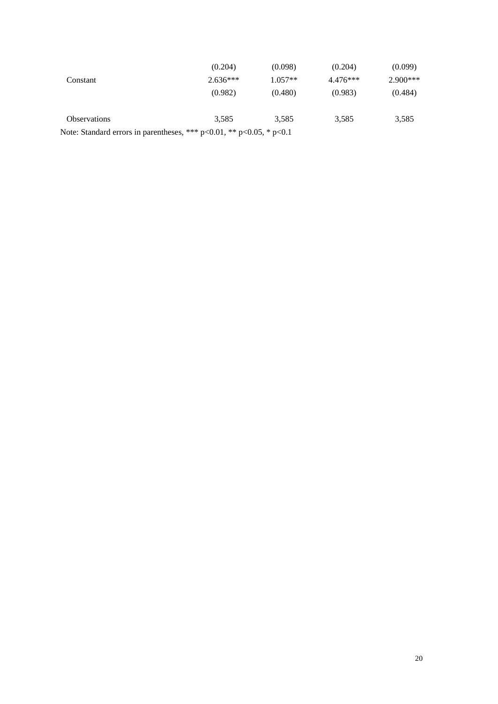|                                                                              | (0.204)    | (0.098)   | (0.204)    | (0.099)    |
|------------------------------------------------------------------------------|------------|-----------|------------|------------|
| Constant                                                                     | $2.636***$ | $1.057**$ | $4.476***$ | $2.900***$ |
|                                                                              | (0.982)    | (0.480)   | (0.983)    | (0.484)    |
| <b>Observations</b>                                                          | 3.585      | 3.585     | 3,585      | 3,585      |
| Note: Standard errors in parentheses, *** $p<0.01$ , ** $p<0.05$ , * $p<0.1$ |            |           |            |            |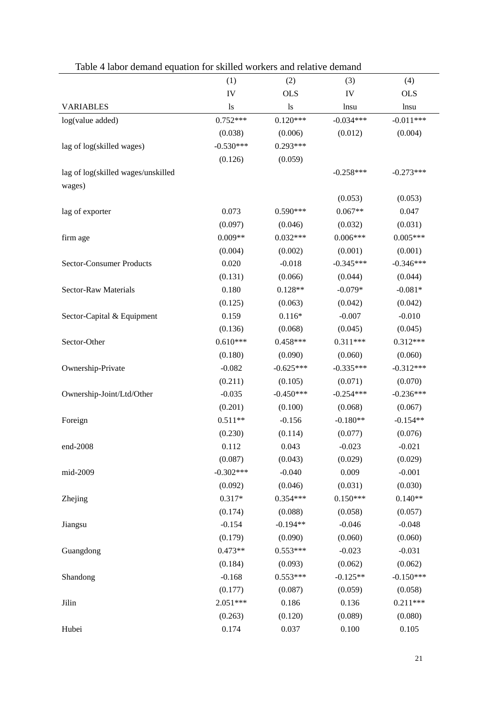| Table 4 Tabor demand equation for skilled workers and relative demand |             |             |             |             |  |  |
|-----------------------------------------------------------------------|-------------|-------------|-------------|-------------|--|--|
|                                                                       | (1)         | (2)         | (3)         | (4)         |  |  |
|                                                                       | IV          | <b>OLS</b>  | IV          | <b>OLS</b>  |  |  |
| <b>VARIABLES</b>                                                      | 1s          | 1s          | lnsu        | lnsu        |  |  |
| log(value added)                                                      | $0.752***$  | $0.120***$  | $-0.034***$ | $-0.011***$ |  |  |
|                                                                       | (0.038)     | (0.006)     | (0.012)     | (0.004)     |  |  |
| lag of log(skilled wages)                                             | $-0.530***$ | $0.293***$  |             |             |  |  |
|                                                                       | (0.126)     | (0.059)     |             |             |  |  |
| lag of log(skilled wages/unskilled                                    |             |             | $-0.258***$ | $-0.273***$ |  |  |
| wages)                                                                |             |             |             |             |  |  |
|                                                                       |             |             | (0.053)     | (0.053)     |  |  |
| lag of exporter                                                       | 0.073       | $0.590***$  | $0.067**$   | 0.047       |  |  |
|                                                                       | (0.097)     | (0.046)     | (0.032)     | (0.031)     |  |  |
| firm age                                                              | $0.009**$   | $0.032***$  | $0.006***$  | $0.005***$  |  |  |
|                                                                       | (0.004)     | (0.002)     | (0.001)     | (0.001)     |  |  |
| <b>Sector-Consumer Products</b>                                       | 0.020       | $-0.018$    | $-0.345***$ | $-0.346***$ |  |  |
|                                                                       | (0.131)     | (0.066)     | (0.044)     | (0.044)     |  |  |
| Sector-Raw Materials                                                  | 0.180       | $0.128**$   | $-0.079*$   | $-0.081*$   |  |  |
|                                                                       | (0.125)     | (0.063)     | (0.042)     | (0.042)     |  |  |
| Sector-Capital & Equipment                                            | 0.159       | $0.116*$    | $-0.007$    | $-0.010$    |  |  |
|                                                                       | (0.136)     | (0.068)     | (0.045)     | (0.045)     |  |  |
| Sector-Other                                                          | $0.610***$  | $0.458***$  | $0.311***$  | $0.312***$  |  |  |
|                                                                       | (0.180)     | (0.090)     | (0.060)     | (0.060)     |  |  |
| Ownership-Private                                                     | $-0.082$    | $-0.625***$ | $-0.335***$ | $-0.312***$ |  |  |
|                                                                       | (0.211)     | (0.105)     | (0.071)     | (0.070)     |  |  |
| Ownership-Joint/Ltd/Other                                             | $-0.035$    | $-0.450***$ | $-0.254***$ | $-0.236***$ |  |  |
|                                                                       | (0.201)     | (0.100)     | (0.068)     | (0.067)     |  |  |
| Foreign                                                               | $0.511**$   | $-0.156$    | $-0.180**$  | $-0.154**$  |  |  |
|                                                                       | (0.230)     | (0.114)     | (0.077)     | (0.076)     |  |  |
| end-2008                                                              | 0.112       | 0.043       | $-0.023$    | $-0.021$    |  |  |
|                                                                       | (0.087)     | (0.043)     | (0.029)     | (0.029)     |  |  |
| mid-2009                                                              | $-0.302***$ | $-0.040$    | 0.009       | $-0.001$    |  |  |
|                                                                       | (0.092)     | (0.046)     | (0.031)     | (0.030)     |  |  |
| Zhejing                                                               | $0.317*$    | $0.354***$  | $0.150***$  | $0.140**$   |  |  |
|                                                                       | (0.174)     | (0.088)     | (0.058)     | (0.057)     |  |  |
| Jiangsu                                                               | $-0.154$    | $-0.194**$  | $-0.046$    | $-0.048$    |  |  |
|                                                                       | (0.179)     | (0.090)     | (0.060)     | (0.060)     |  |  |
| Guangdong                                                             | $0.473**$   | $0.553***$  | $-0.023$    | $-0.031$    |  |  |
|                                                                       | (0.184)     | (0.093)     | (0.062)     | (0.062)     |  |  |
| Shandong                                                              | $-0.168$    | $0.553***$  | $-0.125**$  | $-0.150***$ |  |  |
|                                                                       | (0.177)     | (0.087)     | (0.059)     | (0.058)     |  |  |
| Jilin                                                                 | 2.051***    | 0.186       | 0.136       | $0.211***$  |  |  |
|                                                                       | (0.263)     | (0.120)     | (0.089)     | (0.080)     |  |  |
| Hubei                                                                 | 0.174       | 0.037       | 0.100       | 0.105       |  |  |
|                                                                       |             |             |             |             |  |  |

### Table 4 labor demand equation for skilled workers and relative demand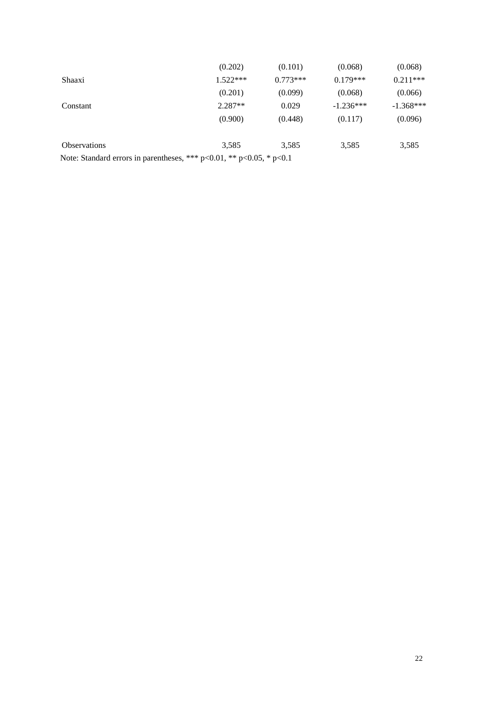|                                                                              | (0.202)    | (0.101)    | (0.068)     | (0.068)     |
|------------------------------------------------------------------------------|------------|------------|-------------|-------------|
| Shaaxi                                                                       | $1.522***$ | $0.773***$ | $0.179***$  | $0.211***$  |
|                                                                              | (0.201)    | (0.099)    | (0.068)     | (0.066)     |
| Constant                                                                     | $2.287**$  | 0.029      | $-1.236***$ | $-1.368***$ |
|                                                                              | (0.900)    | (0.448)    | (0.117)     | (0.096)     |
| <b>Observations</b>                                                          | 3.585      | 3,585      | 3,585       | 3,585       |
| Note: Standard errors in parentheses, *** $p<0.01$ , ** $p<0.05$ , * $p<0.1$ |            |            |             |             |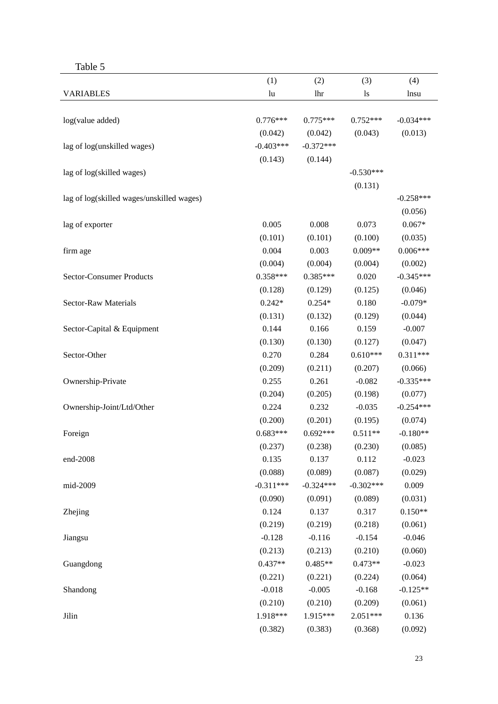| anı |  |
|-----|--|
|     |  |

|                                           | (1)         | (2)         | (3)           | (4)         |
|-------------------------------------------|-------------|-------------|---------------|-------------|
| <b>VARIABLES</b>                          | lu          | lhr         | <sup>1s</sup> | lnsu        |
|                                           |             |             |               |             |
| log(value added)                          | $0.776***$  | $0.775***$  | $0.752***$    | $-0.034***$ |
|                                           | (0.042)     | (0.042)     | (0.043)       | (0.013)     |
| lag of log(unskilled wages)               | $-0.403***$ | $-0.372***$ |               |             |
|                                           | (0.143)     | (0.144)     |               |             |
| lag of log(skilled wages)                 |             |             | $-0.530***$   |             |
|                                           |             |             | (0.131)       |             |
| lag of log(skilled wages/unskilled wages) |             |             |               | $-0.258***$ |
|                                           |             |             |               | (0.056)     |
| lag of exporter                           | 0.005       | 0.008       | 0.073         | $0.067*$    |
|                                           | (0.101)     | (0.101)     | (0.100)       | (0.035)     |
| firm age                                  | 0.004       | 0.003       | $0.009**$     | $0.006***$  |
|                                           | (0.004)     | (0.004)     | (0.004)       | (0.002)     |
| Sector-Consumer Products                  | $0.358***$  | $0.385***$  | 0.020         | $-0.345***$ |
|                                           | (0.128)     | (0.129)     | (0.125)       | (0.046)     |
| Sector-Raw Materials                      | $0.242*$    | $0.254*$    | 0.180         | $-0.079*$   |
|                                           | (0.131)     | (0.132)     | (0.129)       | (0.044)     |
| Sector-Capital & Equipment                | 0.144       | 0.166       | 0.159         | $-0.007$    |
|                                           | (0.130)     | (0.130)     | (0.127)       | (0.047)     |
| Sector-Other                              | 0.270       | 0.284       | $0.610***$    | $0.311***$  |
|                                           | (0.209)     | (0.211)     | (0.207)       | (0.066)     |
| Ownership-Private                         | 0.255       | 0.261       | $-0.082$      | $-0.335***$ |
|                                           | (0.204)     | (0.205)     | (0.198)       | (0.077)     |
| Ownership-Joint/Ltd/Other                 | 0.224       | 0.232       | $-0.035$      | $-0.254***$ |
|                                           | (0.200)     | (0.201)     | (0.195)       | (0.074)     |
| Foreign                                   | $0.683***$  | $0.692***$  | $0.511**$     | $-0.180**$  |
|                                           | (0.237)     | (0.238)     | (0.230)       | (0.085)     |
| end-2008                                  | 0.135       | 0.137       | 0.112         | $-0.023$    |
|                                           | (0.088)     | (0.089)     | (0.087)       | (0.029)     |
| mid-2009                                  | $-0.311***$ | $-0.324***$ | $-0.302***$   | 0.009       |
|                                           | (0.090)     | (0.091)     | (0.089)       | (0.031)     |
| Zhejing                                   | 0.124       | 0.137       | 0.317         | $0.150**$   |
|                                           | (0.219)     | (0.219)     | (0.218)       | (0.061)     |
| Jiangsu                                   | $-0.128$    | $-0.116$    | $-0.154$      | $-0.046$    |
|                                           | (0.213)     | (0.213)     | (0.210)       | (0.060)     |
| Guangdong                                 | $0.437**$   | $0.485**$   | $0.473**$     | $-0.023$    |
|                                           | (0.221)     | (0.221)     | (0.224)       | (0.064)     |
| Shandong                                  | $-0.018$    | $-0.005$    | $-0.168$      | $-0.125**$  |
|                                           | (0.210)     | (0.210)     | (0.209)       | (0.061)     |
| Jilin                                     | 1.918***    | 1.915***    | $2.051***$    | 0.136       |
|                                           | (0.382)     | (0.383)     | (0.368)       | (0.092)     |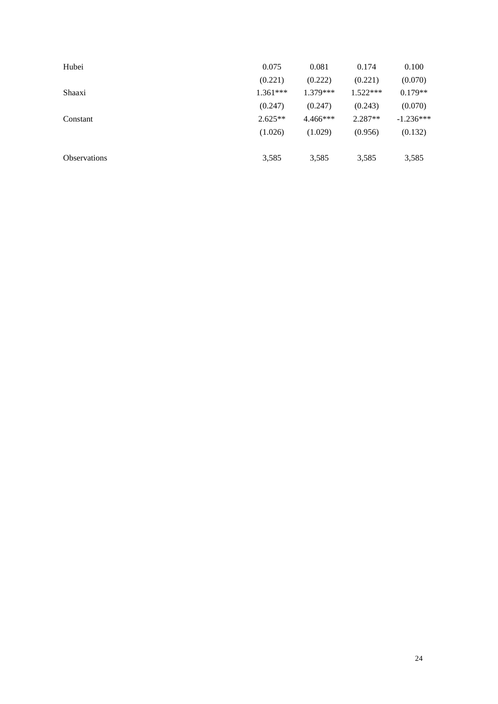| Hubei               | 0.075      | 0.081      | 0.174      | 0.100       |
|---------------------|------------|------------|------------|-------------|
|                     | (0.221)    | (0.222)    | (0.221)    | (0.070)     |
| Shaaxi              | $1.361***$ | $1.379***$ | $1.522***$ | $0.179**$   |
|                     | (0.247)    | (0.247)    | (0.243)    | (0.070)     |
| Constant            | $2.625**$  | $4.466***$ | $2.287**$  | $-1.236***$ |
|                     | (1.026)    | (1.029)    | (0.956)    | (0.132)     |
| <b>Observations</b> | 3,585      | 3,585      | 3,585      | 3,585       |